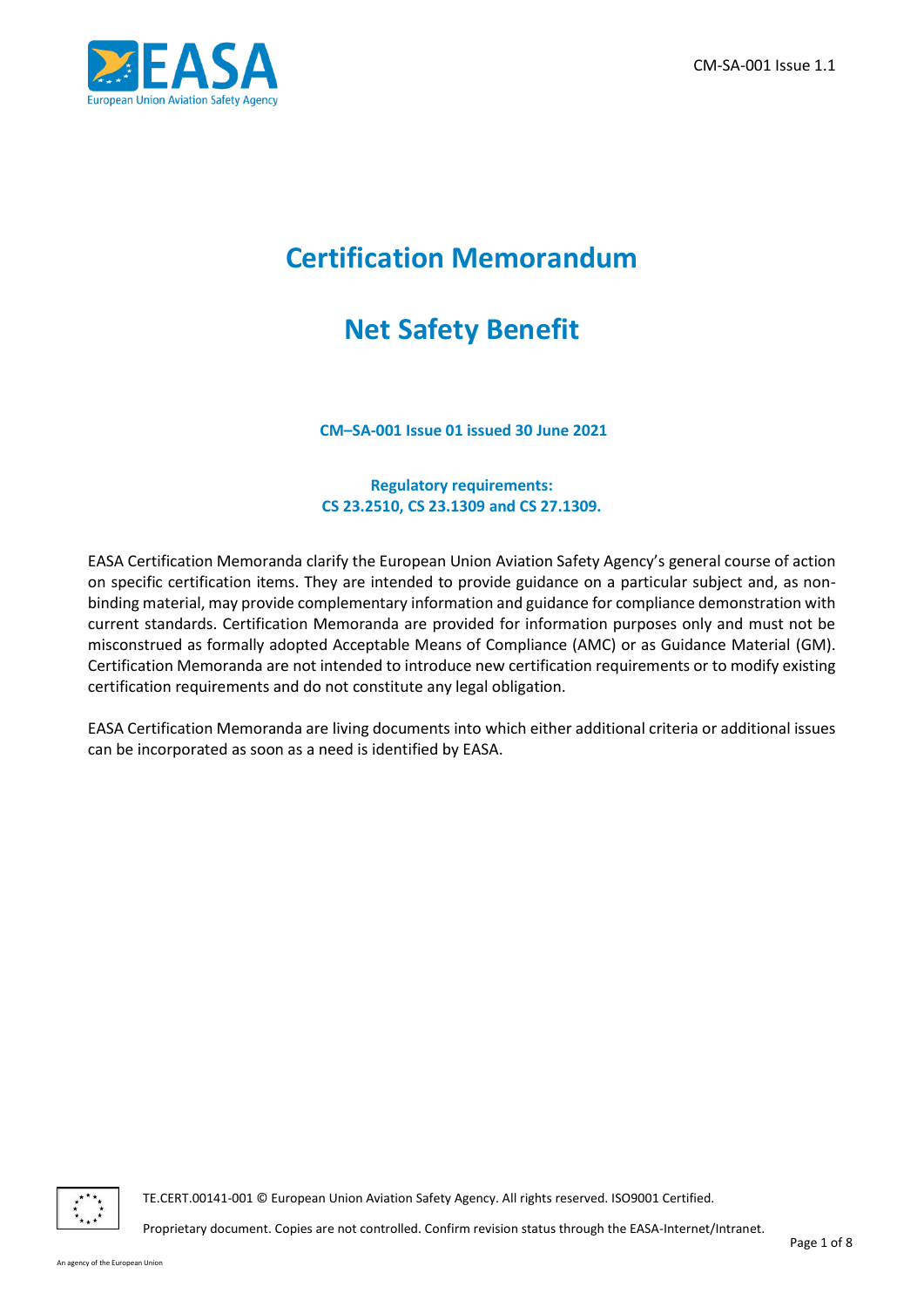

# **Certification Memorandum**

# **Net Safety Benefit**

**CM–SA-001 Issue 01 issued 30 June 2021**

#### **Regulatory requirements: CS 23.2510, CS 23.1309 and CS 27.1309.**

EASA Certification Memoranda clarify the European Union Aviation Safety Agency's general course of action on specific certification items. They are intended to provide guidance on a particular subject and, as nonbinding material, may provide complementary information and guidance for compliance demonstration with current standards. Certification Memoranda are provided for information purposes only and must not be misconstrued as formally adopted Acceptable Means of Compliance (AMC) or as Guidance Material (GM). Certification Memoranda are not intended to introduce new certification requirements or to modify existing certification requirements and do not constitute any legal obligation.

EASA Certification Memoranda are living documents into which either additional criteria or additional issues can be incorporated as soon as a need is identified by EASA.



TE.CERT.00141-001 © European Union Aviation Safety Agency. All rights reserved. ISO9001 Certified.

Proprietary document. Copies are not controlled. Confirm revision status through the EASA-Internet/Intranet.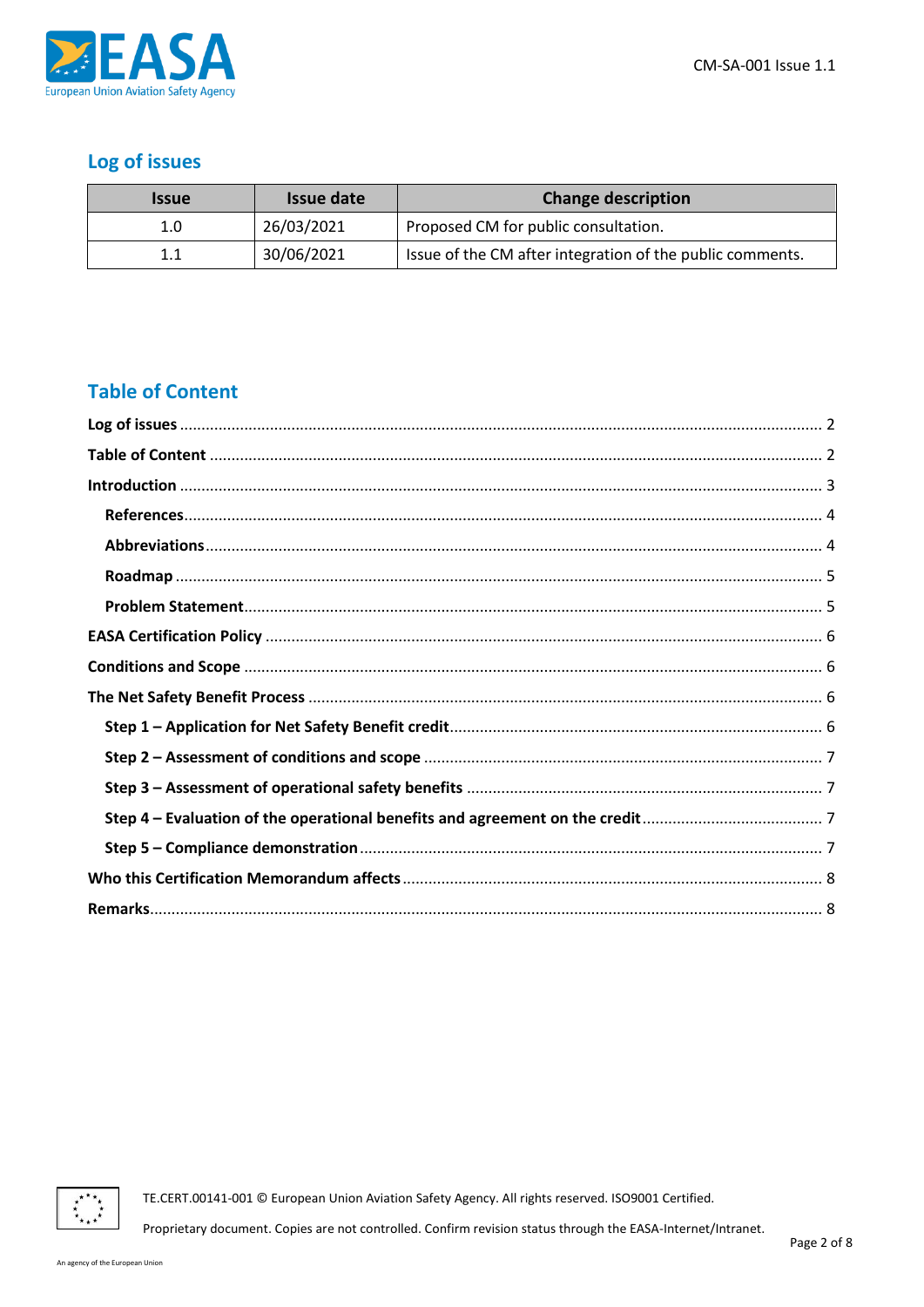

## <span id="page-1-0"></span>Log of issues

| <i><b>Issue</b></i> | Issue date | <b>Change description</b>                                 |
|---------------------|------------|-----------------------------------------------------------|
| 1.0                 | 26/03/2021 | Proposed CM for public consultation.                      |
| 1.1                 | 30/06/2021 | Issue of the CM after integration of the public comments. |

## <span id="page-1-1"></span>**Table of Content**



TE.CERT.00141-001 © European Union Aviation Safety Agency. All rights reserved. ISO9001 Certified.

Proprietary document. Copies are not controlled. Confirm revision status through the EASA-Internet/Intranet.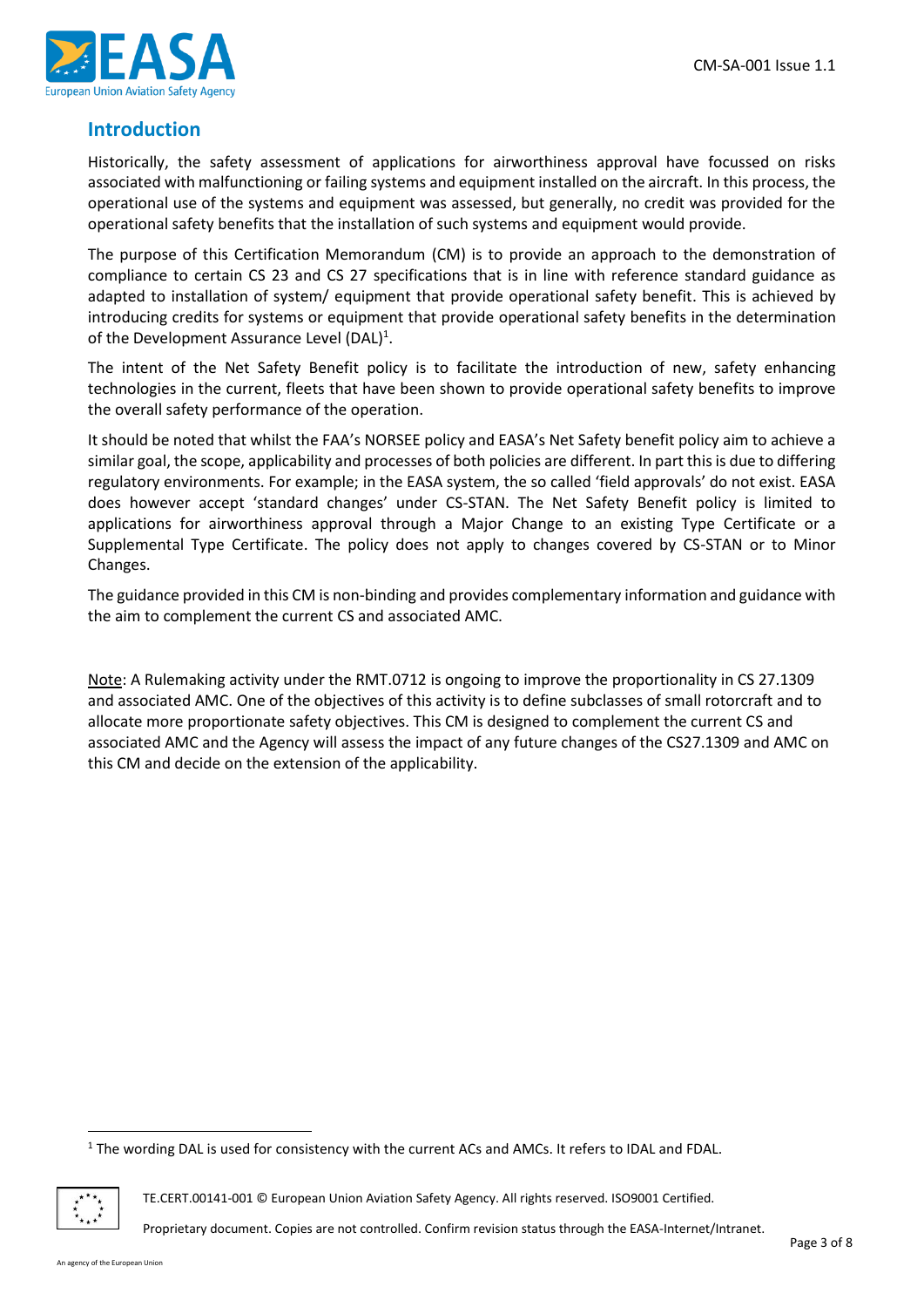

#### <span id="page-2-0"></span>**Introduction**

Historically, the safety assessment of applications for airworthiness approval have focussed on risks associated with malfunctioning or failing systems and equipment installed on the aircraft. In this process, the operational use of the systems and equipment was assessed, but generally, no credit was provided for the operational safety benefits that the installation of such systems and equipment would provide.

The purpose of this Certification Memorandum (CM) is to provide an approach to the demonstration of compliance to certain CS 23 and CS 27 specifications that is in line with reference standard guidance as adapted to installation of system/ equipment that provide operational safety benefit. This is achieved by introducing credits for systems or equipment that provide operational safety benefits in the determination of the Development Assurance Level (DAL)<sup>1</sup>.

The intent of the Net Safety Benefit policy is to facilitate the introduction of new, safety enhancing technologies in the current, fleets that have been shown to provide operational safety benefits to improve the overall safety performance of the operation.

It should be noted that whilst the FAA's NORSEE policy and EASA's Net Safety benefit policy aim to achieve a similar goal, the scope, applicability and processes of both policies are different. In part this is due to differing regulatory environments. For example; in the EASA system, the so called 'field approvals' do not exist. EASA does however accept 'standard changes' under CS-STAN. The Net Safety Benefit policy is limited to applications for airworthiness approval through a Major Change to an existing Type Certificate or a Supplemental Type Certificate. The policy does not apply to changes covered by CS-STAN or to Minor Changes.

The guidance provided in this CM is non-binding and provides complementary information and guidance with the aim to complement the current CS and associated AMC.

Note: A Rulemaking activity under the RMT.0712 is ongoing to improve the proportionality in CS 27.1309 and associated AMC. One of the objectives of this activity is to define subclasses of small rotorcraft and to allocate more proportionate safety objectives. This CM is designed to complement the current CS and associated AMC and the Agency will assess the impact of any future changes of the CS27.1309 and AMC on this CM and decide on the extension of the applicability.

 $1$  The wording DAL is used for consistency with the current ACs and AMCs. It refers to IDAL and FDAL.



TE.CERT.00141-001 © European Union Aviation Safety Agency. All rights reserved. ISO9001 Certified.

Proprietary document. Copies are not controlled. Confirm revision status through the EASA-Internet/Intranet.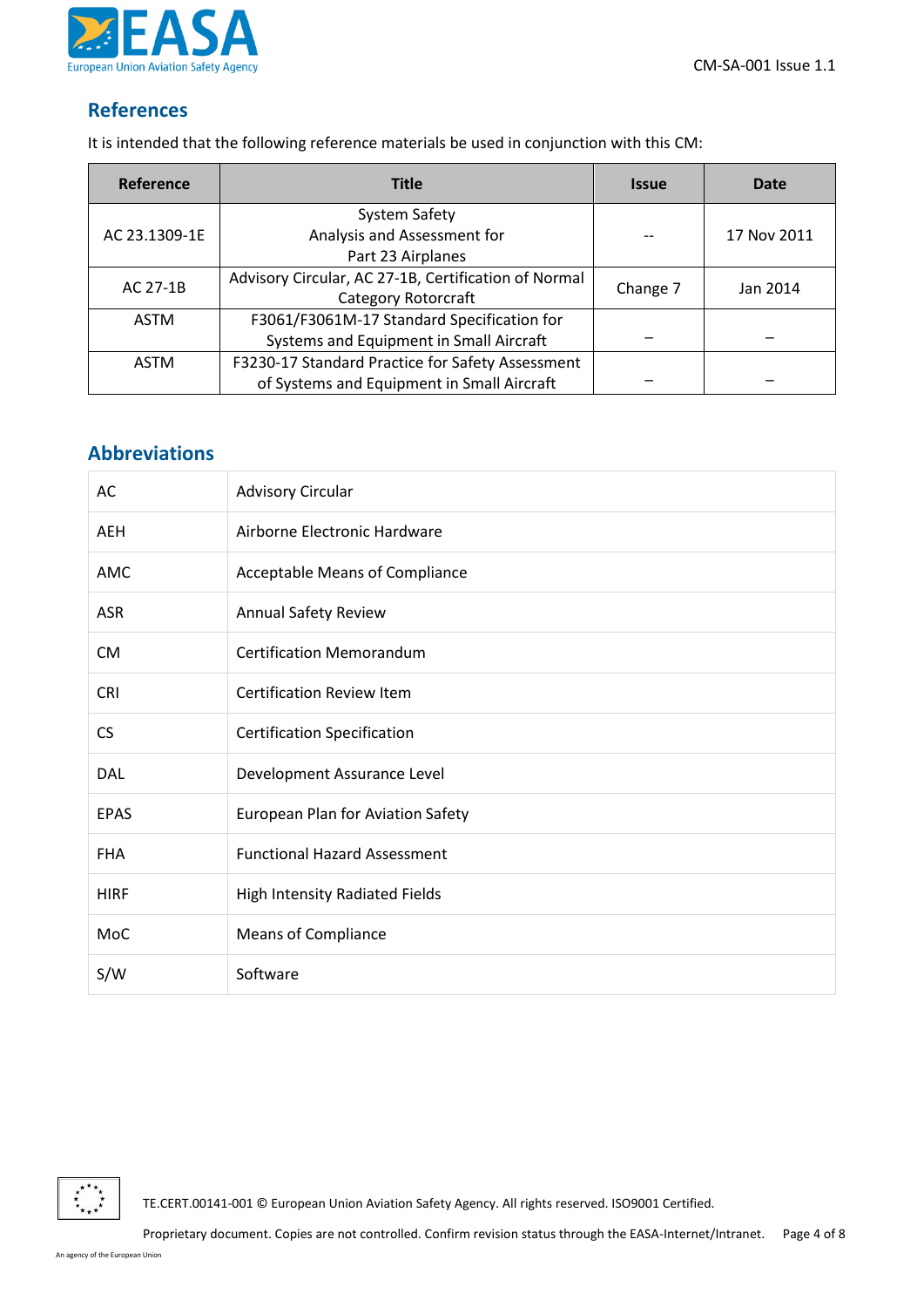

#### <span id="page-3-0"></span>**References**

It is intended that the following reference materials be used in conjunction with this CM:

| Reference     | <b>Title</b>                                         | <i><b>Issue</b></i> | Date        |
|---------------|------------------------------------------------------|---------------------|-------------|
|               | System Safety                                        |                     |             |
| AC 23.1309-1E | Analysis and Assessment for                          |                     | 17 Nov 2011 |
|               | Part 23 Airplanes                                    |                     |             |
| AC 27-1B      | Advisory Circular, AC 27-1B, Certification of Normal |                     | Jan 2014    |
|               | Category Rotorcraft                                  | Change 7            |             |
| <b>ASTM</b>   | F3061/F3061M-17 Standard Specification for           |                     |             |
|               | Systems and Equipment in Small Aircraft              |                     |             |
| <b>ASTM</b>   | F3230-17 Standard Practice for Safety Assessment     |                     |             |
|               | of Systems and Equipment in Small Aircraft           |                     |             |

## <span id="page-3-1"></span>**Abbreviations**

| AC          | <b>Advisory Circular</b>              |
|-------------|---------------------------------------|
| <b>AEH</b>  | Airborne Electronic Hardware          |
| <b>AMC</b>  | <b>Acceptable Means of Compliance</b> |
| <b>ASR</b>  | <b>Annual Safety Review</b>           |
| <b>CM</b>   | <b>Certification Memorandum</b>       |
| <b>CRI</b>  | <b>Certification Review Item</b>      |
| <b>CS</b>   | <b>Certification Specification</b>    |
| <b>DAL</b>  | Development Assurance Level           |
| <b>EPAS</b> | European Plan for Aviation Safety     |
| <b>FHA</b>  | <b>Functional Hazard Assessment</b>   |
| <b>HIRF</b> | High Intensity Radiated Fields        |
| MoC         | <b>Means of Compliance</b>            |
| S/W         | Software                              |

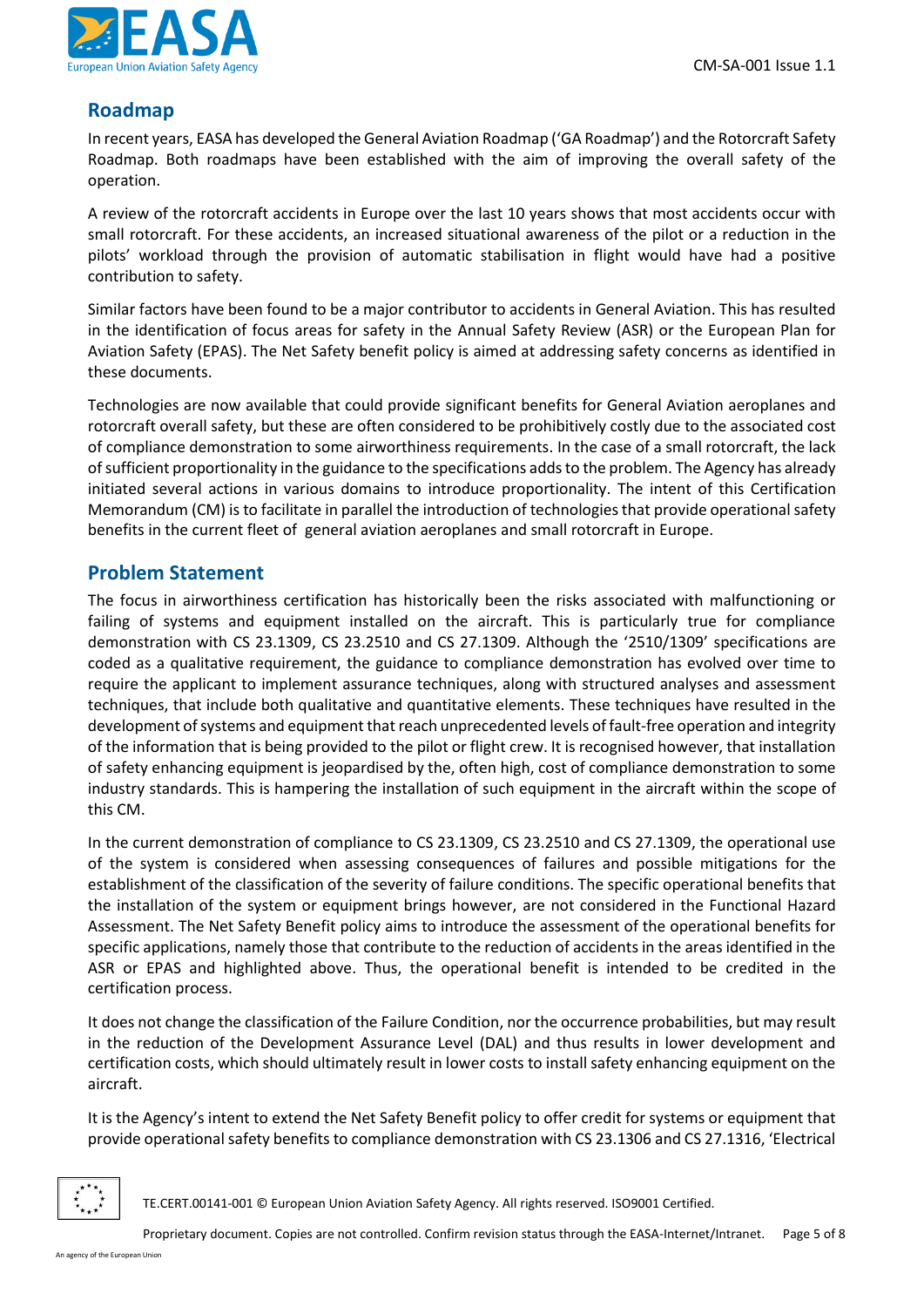

#### <span id="page-4-0"></span>**Roadmap**

In recent years, EASA has developed the General Aviation Roadmap ('GA Roadmap') and the Rotorcraft Safety Roadmap. Both roadmaps have been established with the aim of improving the overall safety of the operation.

A review of the rotorcraft accidents in Europe over the last 10 years shows that most accidents occur with small rotorcraft. For these accidents, an increased situational awareness of the pilot or a reduction in the pilots' workload through the provision of automatic stabilisation in flight would have had a positive contribution to safety.

Similar factors have been found to be a major contributor to accidents in General Aviation. This has resulted in the identification of focus areas for safety in the Annual Safety Review (ASR) or the European Plan for Aviation Safety (EPAS). The Net Safety benefit policy is aimed at addressing safety concerns as identified in these documents.

Technologies are now available that could provide significant benefits for General Aviation aeroplanes and rotorcraft overall safety, but these are often considered to be prohibitively costly due to the associated cost of compliance demonstration to some airworthiness requirements. In the case of a small rotorcraft, the lack of sufficient proportionality in the guidance to the specifications addsto the problem. The Agency has already initiated several actions in various domains to introduce proportionality. The intent of this Certification Memorandum (CM) is to facilitate in parallel the introduction of technologies that provide operational safety benefits in the current fleet of general aviation aeroplanes and small rotorcraft in Europe.

#### <span id="page-4-1"></span>**Problem Statement**

The focus in airworthiness certification has historically been the risks associated with malfunctioning or failing of systems and equipment installed on the aircraft. This is particularly true for compliance demonstration with CS 23.1309, CS 23.2510 and CS 27.1309. Although the '2510/1309' specifications are coded as a qualitative requirement, the guidance to compliance demonstration has evolved over time to require the applicant to implement assurance techniques, along with structured analyses and assessment techniques, that include both qualitative and quantitative elements. These techniques have resulted in the development of systems and equipment that reach unprecedented levels of fault-free operation and integrity of the information that is being provided to the pilot or flight crew. It is recognised however, that installation of safety enhancing equipment is jeopardised by the, often high, cost of compliance demonstration to some industry standards. This is hampering the installation of such equipment in the aircraft within the scope of this CM.

In the current demonstration of compliance to CS 23.1309, CS 23.2510 and CS 27.1309, the operational use of the system is considered when assessing consequences of failures and possible mitigations for the establishment of the classification of the severity of failure conditions. The specific operational benefits that the installation of the system or equipment brings however, are not considered in the Functional Hazard Assessment. The Net Safety Benefit policy aims to introduce the assessment of the operational benefits for specific applications, namely those that contribute to the reduction of accidents in the areas identified in the ASR or EPAS and highlighted above. Thus, the operational benefit is intended to be credited in the certification process.

It does not change the classification of the Failure Condition, nor the occurrence probabilities, but may result in the reduction of the Development Assurance Level (DAL) and thus results in lower development and certification costs, which should ultimately result in lower costs to install safety enhancing equipment on the aircraft.

It is the Agency's intent to extend the Net Safety Benefit policy to offer credit for systems or equipment that provide operational safety benefits to compliance demonstration with CS 23.1306 and CS 27.1316, 'Electrical

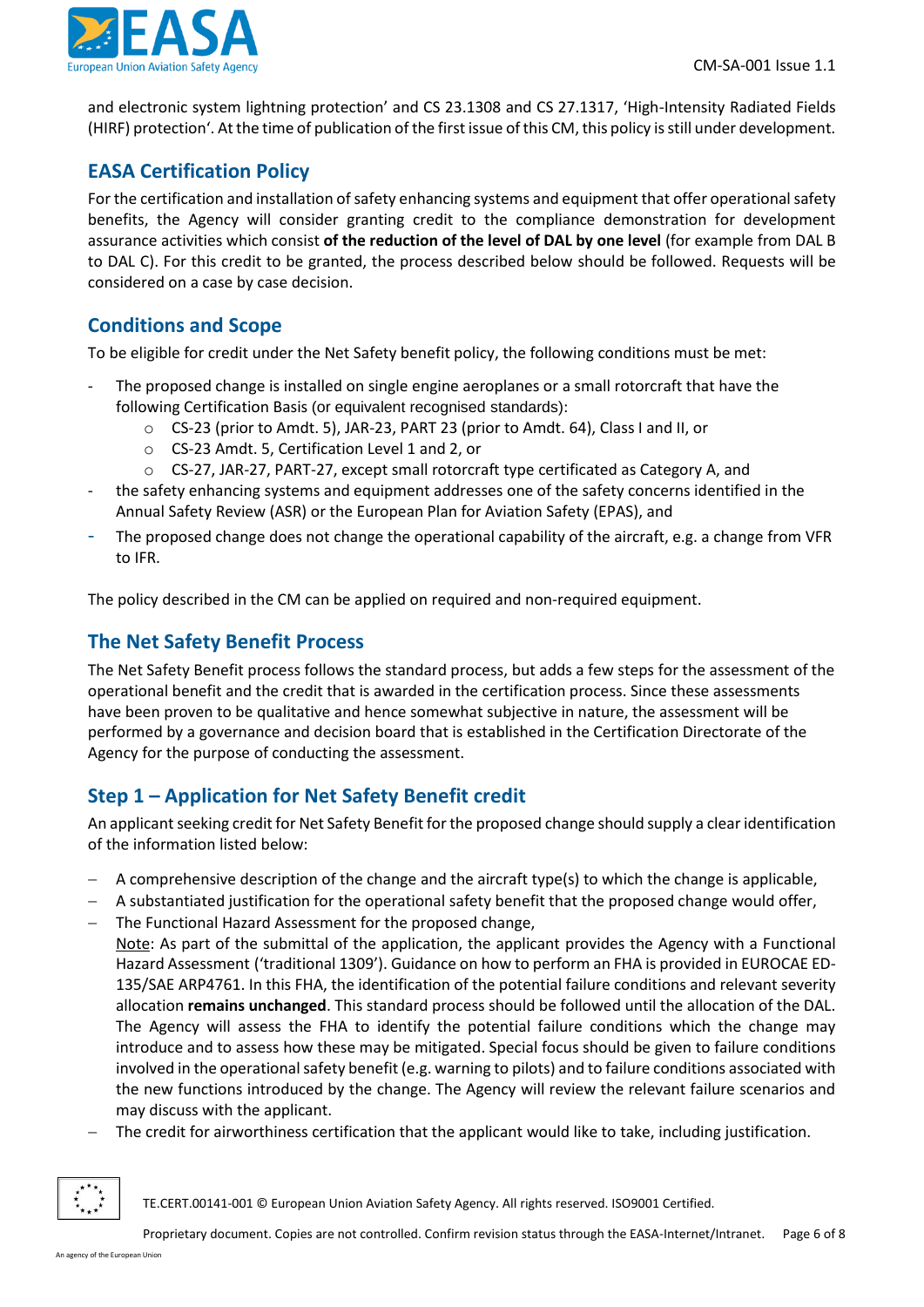

and electronic system lightning protection' and CS 23.1308 and CS 27.1317, 'High-Intensity Radiated Fields (HIRF) protection'. At the time of publication of the first issue of this CM, this policy is still under development.

## <span id="page-5-0"></span>**EASA Certification Policy**

For the certification and installation of safety enhancing systems and equipment that offer operationalsafety benefits, the Agency will consider granting credit to the compliance demonstration for development assurance activities which consist **of the reduction of the level of DAL by one level** (for example from DAL B to DAL C). For this credit to be granted, the process described below should be followed. Requests will be considered on a case by case decision.

### <span id="page-5-1"></span>**Conditions and Scope**

To be eligible for credit under the Net Safety benefit policy, the following conditions must be met:

- The proposed change is installed on single engine aeroplanes or a small rotorcraft that have the following Certification Basis (or equivalent recognised standards):
	- o CS-23 (prior to Amdt. 5), JAR-23, PART 23 (prior to Amdt. 64), Class I and II, or
	- o CS-23 Amdt. 5, Certification Level 1 and 2, or
	- $\circ$  CS-27, JAR-27, PART-27, except small rotorcraft type certificated as Category A, and
- the safety enhancing systems and equipment addresses one of the safety concerns identified in the Annual Safety Review (ASR) or the European Plan for Aviation Safety (EPAS), and
- The proposed change does not change the operational capability of the aircraft, e.g. a change from VFR to IFR.

The policy described in the CM can be applied on required and non-required equipment.

### <span id="page-5-2"></span>**The Net Safety Benefit Process**

The Net Safety Benefit process follows the standard process, but adds a few steps for the assessment of the operational benefit and the credit that is awarded in the certification process. Since these assessments have been proven to be qualitative and hence somewhat subjective in nature, the assessment will be performed by a governance and decision board that is established in the Certification Directorate of the Agency for the purpose of conducting the assessment.

## <span id="page-5-3"></span>**Step 1 – Application for Net Safety Benefit credit**

An applicant seeking credit for Net Safety Benefit for the proposed change should supply a clear identification of the information listed below:

- − A comprehensive description of the change and the aircraft type(s) to which the change is applicable,
- − A substantiated justification for the operational safety benefit that the proposed change would offer,
- − The Functional Hazard Assessment for the proposed change,

Note: As part of the submittal of the application, the applicant provides the Agency with a Functional Hazard Assessment ('traditional 1309'). Guidance on how to perform an FHA is provided in EUROCAE ED-135/SAE ARP4761. In this FHA, the identification of the potential failure conditions and relevant severity allocation **remains unchanged**. This standard process should be followed until the allocation of the DAL. The Agency will assess the FHA to identify the potential failure conditions which the change may introduce and to assess how these may be mitigated. Special focus should be given to failure conditions involved in the operational safety benefit (e.g. warning to pilots) and to failure conditions associated with the new functions introduced by the change. The Agency will review the relevant failure scenarios and may discuss with the applicant.

The credit for airworthiness certification that the applicant would like to take, including justification.

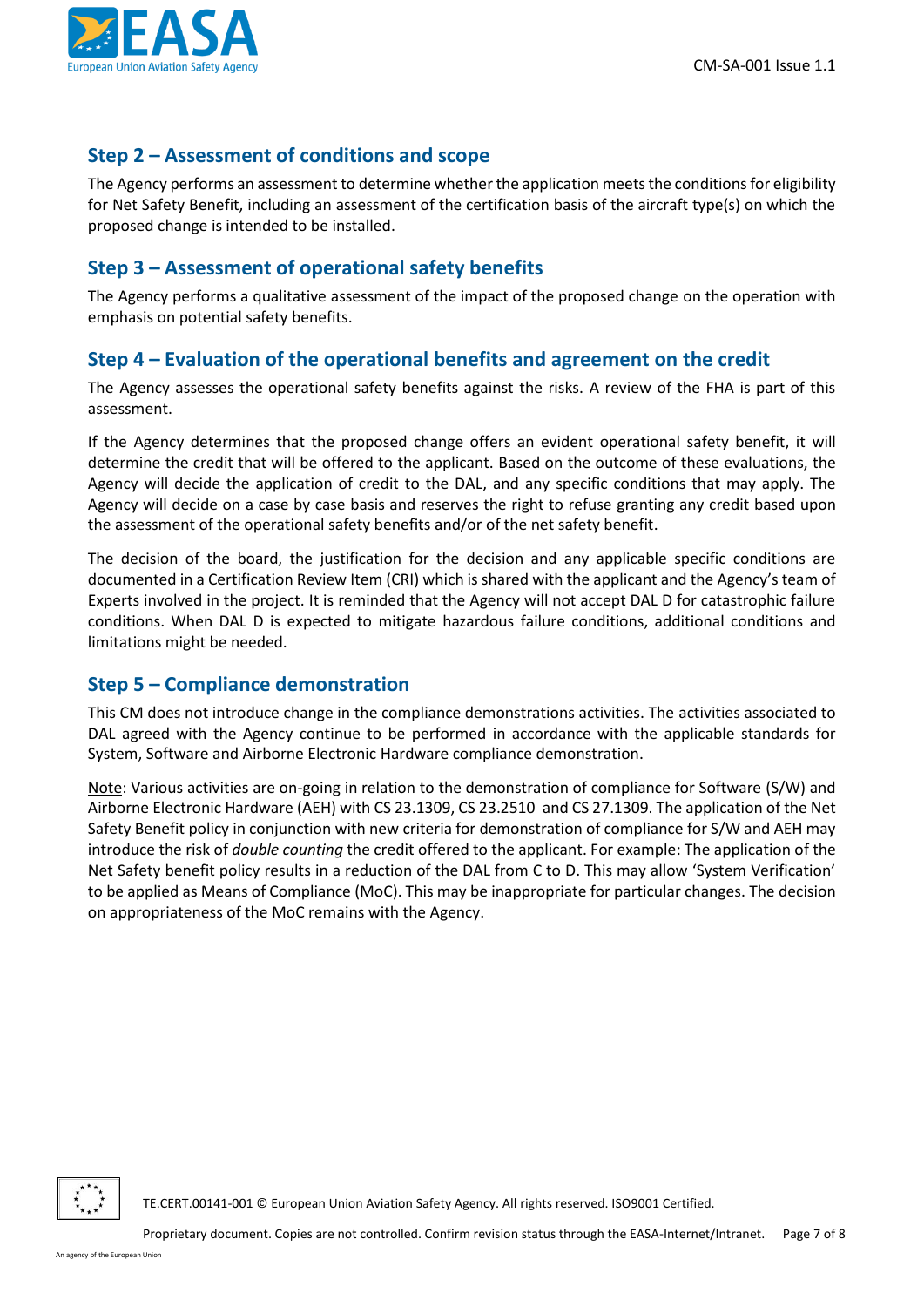

### <span id="page-6-0"></span>**Step 2 – Assessment of conditions and scope**

The Agency performs an assessment to determine whether the application meets the conditions for eligibility for Net Safety Benefit, including an assessment of the certification basis of the aircraft type(s) on which the proposed change is intended to be installed.

### <span id="page-6-1"></span>**Step 3 – Assessment of operational safety benefits**

The Agency performs a qualitative assessment of the impact of the proposed change on the operation with emphasis on potential safety benefits.

#### <span id="page-6-2"></span>**Step 4 – Evaluation of the operational benefits and agreement on the credit**

The Agency assesses the operational safety benefits against the risks. A review of the FHA is part of this assessment.

If the Agency determines that the proposed change offers an evident operational safety benefit, it will determine the credit that will be offered to the applicant. Based on the outcome of these evaluations, the Agency will decide the application of credit to the DAL, and any specific conditions that may apply. The Agency will decide on a case by case basis and reserves the right to refuse granting any credit based upon the assessment of the operational safety benefits and/or of the net safety benefit.

The decision of the board, the justification for the decision and any applicable specific conditions are documented in a Certification Review Item (CRI) which is shared with the applicant and the Agency's team of Experts involved in the project. It is reminded that the Agency will not accept DAL D for catastrophic failure conditions. When DAL D is expected to mitigate hazardous failure conditions, additional conditions and limitations might be needed.

### <span id="page-6-3"></span>**Step 5 – Compliance demonstration**

This CM does not introduce change in the compliance demonstrations activities. The activities associated to DAL agreed with the Agency continue to be performed in accordance with the applicable standards for System, Software and Airborne Electronic Hardware compliance demonstration.

Note: Various activities are on-going in relation to the demonstration of compliance for Software (S/W) and Airborne Electronic Hardware (AEH) with CS 23.1309, CS 23.2510 and CS 27.1309. The application of the Net Safety Benefit policy in conjunction with new criteria for demonstration of compliance for S/W and AEH may introduce the risk of *double counting* the credit offered to the applicant. For example: The application of the Net Safety benefit policy results in a reduction of the DAL from C to D. This may allow 'System Verification' to be applied as Means of Compliance (MoC). This may be inappropriate for particular changes. The decision on appropriateness of the MoC remains with the Agency.